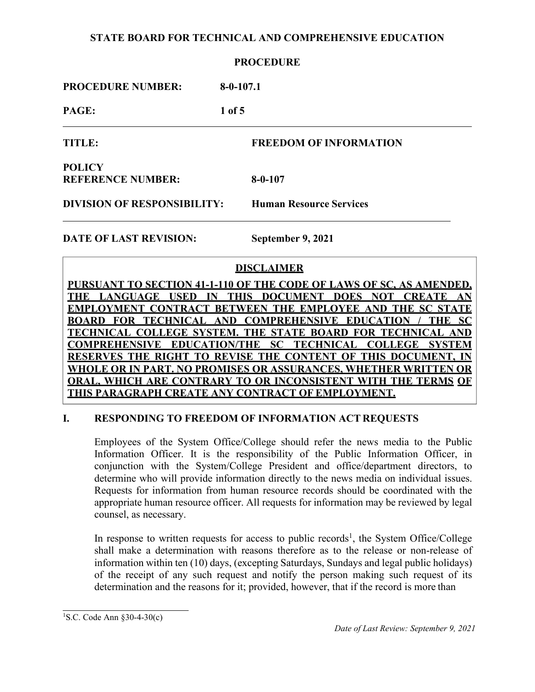### **PROCEDURE**

| <b>PROCEDURE NUMBER:</b><br>$8 - 0 - 107.1$ |
|---------------------------------------------|
|---------------------------------------------|

**PAGE: 1 of 5**

**TITLE: FREEDOM OF INFORMATION**

**POLICY REFERENCE NUMBER: 8-0-107**

**DIVISION OF RESPONSIBILITY: Human Resource Services**

**DATE OF LAST REVISION: September 9, 2021**

# **DISCLAIMER**

**PURSUANT TO SECTION 41-1-110 OF THE CODE OF LAWS OF SC, AS AMENDED, THE LANGUAGE USED IN THIS DOCUMENT DOES NOT CREATE AN EMPLOYMENT CONTRACT BETWEEN THE EMPLOYEE AND THE SC STATE BOARD FOR TECHNICAL AND COMPREHENSIVE EDUCATION / THE SC TECHNICAL COLLEGE SYSTEM. THE STATE BOARD FOR TECHNICAL AND COMPREHENSIVE EDUCATION/THE SC TECHNICAL COLLEGE SYSTEM RESERVES THE RIGHT TO REVISE THE CONTENT OF THIS DOCUMENT, IN WHOLE OR IN PART. NO PROMISES OR ASSURANCES, WHETHER WRITTEN OR ORAL, WHICH ARE CONTRARY TO OR INCONSISTENT WITH THE TERMS OF THIS PARAGRAPH CREATE ANY CONTRACT OF EMPLOYMENT.**

# **I. RESPONDING TO FREEDOM OF INFORMATION ACT REQUESTS**

Employees of the System Office/College should refer the news media to the Public Information Officer. It is the responsibility of the Public Information Officer, in conjunction with the System/College President and office/department directors, to determine who will provide information directly to the news media on individual issues. Requests for information from human resource records should be coordinated with the appropriate human resource officer. All requests for information may be reviewed by legal counsel, as necessary.

In response to written requests for access to public records<sup>1</sup>, the System Office/College shall make a determination with reasons therefore as to the release or non-release of information within ten (10) days, (excepting Saturdays, Sundays and legal public holidays) of the receipt of any such request and notify the person making such request of its determination and the reasons for it; provided, however, that if the record is more than

<sup>1</sup> S.C. Code Ann §30-4-30(c)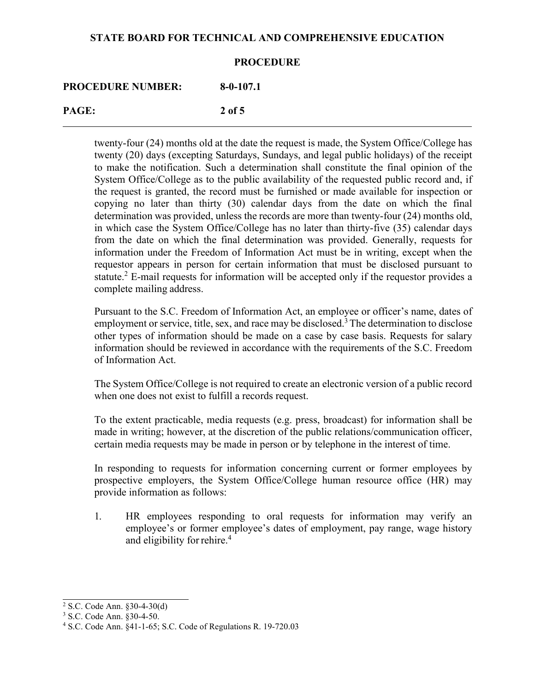#### **PROCEDURE**

# **PROCEDURE NUMBER: 8-0-107.1**

# **PAGE: 2 of 5**

twenty-four (24) months old at the date the request is made, the System Office/College has twenty (20) days (excepting Saturdays, Sundays, and legal public holidays) of the receipt to make the notification. Such a determination shall constitute the final opinion of the System Office/College as to the public availability of the requested public record and, if the request is granted, the record must be furnished or made available for inspection or copying no later than thirty (30) calendar days from the date on which the final determination was provided, unless the records are more than twenty-four (24) months old, in which case the System Office/College has no later than thirty-five (35) calendar days from the date on which the final determination was provided. Generally, requests for information under the Freedom of Information Act must be in writing, except when the requestor appears in person for certain information that must be disclosed pursuant to statute.<sup>2</sup> E-mail requests for information will be accepted only if the requestor provides a complete mailing address.

Pursuant to the S.C. Freedom of Information Act, an employee or officer's name, dates of employment or service, title, sex, and race may be disclosed.<sup>3</sup> The determination to disclose other types of information should be made on a case by case basis. Requests for salary information should be reviewed in accordance with the requirements of the S.C. Freedom of Information Act.

The System Office/College is not required to create an electronic version of a public record when one does not exist to fulfill a records request.

To the extent practicable, media requests (e.g. press, broadcast) for information shall be made in writing; however, at the discretion of the public relations/communication officer, certain media requests may be made in person or by telephone in the interest of time.

In responding to requests for information concerning current or former employees by prospective employers, the System Office/College human resource office (HR) may provide information as follows:

1. HR employees responding to oral requests for information may verify an employee's or former employee's dates of employment, pay range, wage history and eligibility for rehire.<sup>4</sup>

<sup>2</sup> S.C. Code Ann. §30-4-30(d)

<sup>3</sup> S.C. Code Ann. §30-4-50.

<sup>4</sup> S.C. Code Ann. §41-1-65; S.C. Code of Regulations R. 19-720.03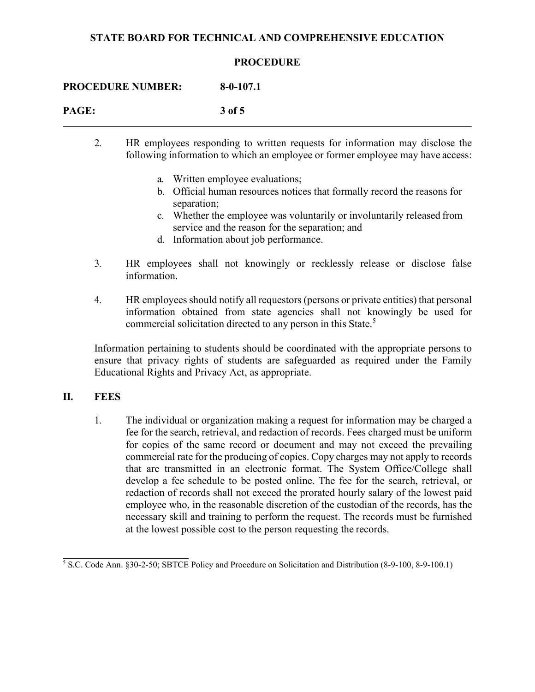#### **PROCEDURE**

**PROCEDURE NUMBER: 8-0-107.1**

| PAGE: | 3 of 5 |
|-------|--------|
|       |        |

- 2. HR employees responding to written requests for information may disclose the following information to which an employee or former employee may have access:
	- a. Written employee evaluations;
	- b. Official human resources notices that formally record the reasons for separation;
	- c. Whether the employee was voluntarily or involuntarily released from service and the reason for the separation; and
	- d. Information about job performance.
- 3. HR employees shall not knowingly or recklessly release or disclose false information.
- 4. HR employees should notify all requestors (persons or private entities) that personal information obtained from state agencies shall not knowingly be used for commercial solicitation directed to any person in this State.<sup>5</sup>

Information pertaining to students should be coordinated with the appropriate persons to ensure that privacy rights of students are safeguarded as required under the Family Educational Rights and Privacy Act, as appropriate.

# **II. FEES**

1. The individual or organization making a request for information may be charged a fee for the search, retrieval, and redaction of records. Fees charged must be uniform for copies of the same record or document and may not exceed the prevailing commercial rate for the producing of copies. Copy charges may not apply to records that are transmitted in an electronic format. The System Office/College shall develop a fee schedule to be posted online. The fee for the search, retrieval, or redaction of records shall not exceed the prorated hourly salary of the lowest paid employee who, in the reasonable discretion of the custodian of the records, has the necessary skill and training to perform the request. The records must be furnished at the lowest possible cost to the person requesting the records.

 $\frac{5}{5}$  S.C. Code Ann. §30-2-50; SBTCE Policy and Procedure on Solicitation and Distribution (8-9-100, 8-9-100.1)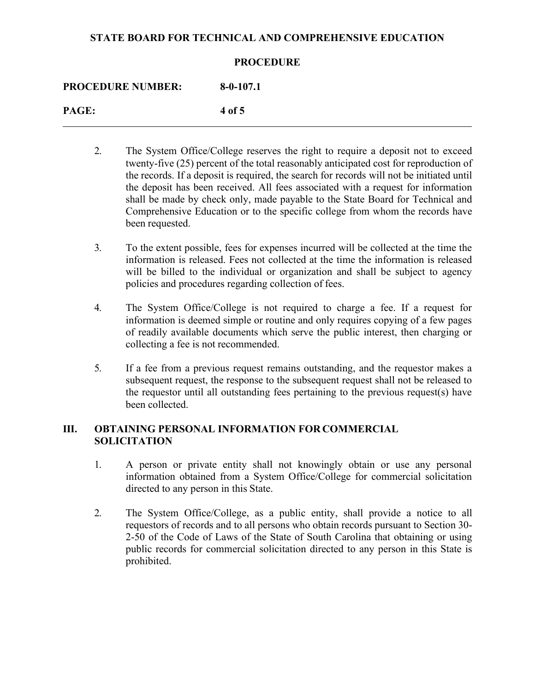#### **PROCEDURE**

**PROCEDURE NUMBER: 8-0-107.1**

**PAGE: 4 of 5**

- 2. The System Office/College reserves the right to require a deposit not to exceed twenty-five (25) percent of the total reasonably anticipated cost for reproduction of the records. If a deposit is required, the search for records will not be initiated until the deposit has been received. All fees associated with a request for information shall be made by check only, made payable to the State Board for Technical and Comprehensive Education or to the specific college from whom the records have been requested.
- 3. To the extent possible, fees for expenses incurred will be collected at the time the information is released. Fees not collected at the time the information is released will be billed to the individual or organization and shall be subject to agency policies and procedures regarding collection of fees.
- 4. The System Office/College is not required to charge a fee. If a request for information is deemed simple or routine and only requires copying of a few pages of readily available documents which serve the public interest, then charging or collecting a fee is not recommended.
- 5. If a fee from a previous request remains outstanding, and the requestor makes a subsequent request, the response to the subsequent request shall not be released to the requestor until all outstanding fees pertaining to the previous request(s) have been collected.

# **III. OBTAINING PERSONAL INFORMATION FOR COMMERCIAL SOLICITATION**

- 1. A person or private entity shall not knowingly obtain or use any personal information obtained from a System Office/College for commercial solicitation directed to any person in this State.
- 2. The System Office/College, as a public entity, shall provide a notice to all requestors of records and to all persons who obtain records pursuant to Section 30- 2-50 of the Code of Laws of the State of South Carolina that obtaining or using public records for commercial solicitation directed to any person in this State is prohibited.